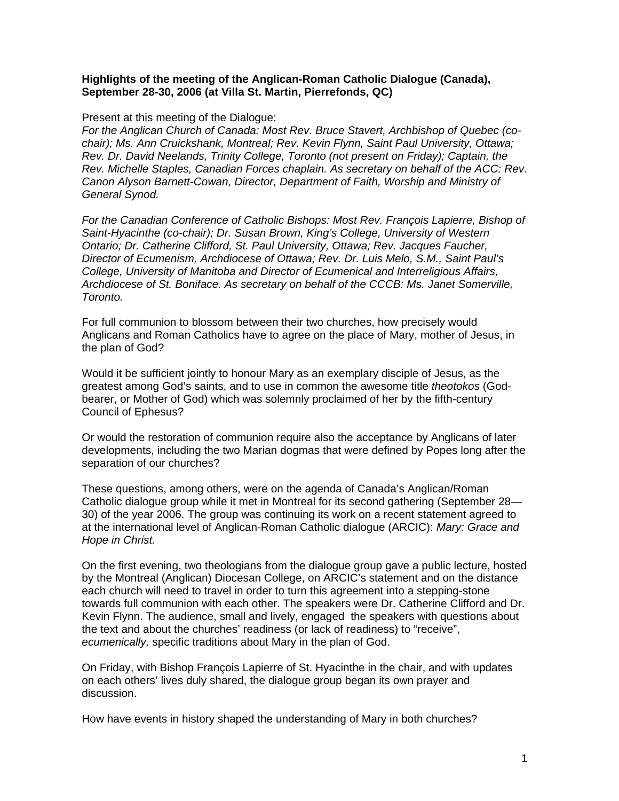## **Highlights of the meeting of the Anglican-Roman Catholic Dialogue (Canada), September 28-30, 2006 (at Villa St. Martin, Pierrefonds, QC)**

## Present at this meeting of the Dialogue:

*For the Anglican Church of Canada: Most Rev. Bruce Stavert, Archbishop of Quebec (cochair); Ms. Ann Cruickshank, Montreal; Rev. Kevin Flynn, Saint Paul University, Ottawa; Rev. Dr. David Neelands, Trinity College, Toronto (not present on Friday); Captain, the Rev. Michelle Staples, Canadian Forces chaplain. As secretary on behalf of the ACC: Rev. Canon Alyson Barnett-Cowan, Director, Department of Faith, Worship and Ministry of General Synod.* 

*For the Canadian Conference of Catholic Bishops: Most Rev. François Lapierre, Bishop of Saint-Hyacinthe (co-chair); Dr. Susan Brown, King's College, University of Western Ontario; Dr. Catherine Clifford, St. Paul University, Ottawa; Rev. Jacques Faucher, Director of Ecumenism, Archdiocese of Ottawa; Rev. Dr. Luis Melo, S.M., Saint Paul's College, University of Manitoba and Director of Ecumenical and Interreligious Affairs, Archdiocese of St. Boniface. As secretary on behalf of the CCCB: Ms. Janet Somerville, Toronto.* 

For full communion to blossom between their two churches, how precisely would Anglicans and Roman Catholics have to agree on the place of Mary, mother of Jesus, in the plan of God?

Would it be sufficient jointly to honour Mary as an exemplary disciple of Jesus, as the greatest among God's saints, and to use in common the awesome title *theotokos* (Godbearer, or Mother of God) which was solemnly proclaimed of her by the fifth-century Council of Ephesus?

Or would the restoration of communion require also the acceptance by Anglicans of later developments, including the two Marian dogmas that were defined by Popes long after the separation of our churches?

These questions, among others, were on the agenda of Canada's Anglican/Roman Catholic dialogue group while it met in Montreal for its second gathering (September 28— 30) of the year 2006. The group was continuing its work on a recent statement agreed to at the international level of Anglican-Roman Catholic dialogue (ARCIC): *Mary: Grace and Hope in Christ.* 

On the first evening, two theologians from the dialogue group gave a public lecture, hosted by the Montreal (Anglican) Diocesan College, on ARCIC's statement and on the distance each church will need to travel in order to turn this agreement into a stepping-stone towards full communion with each other. The speakers were Dr. Catherine Clifford and Dr. Kevin Flynn. The audience, small and lively, engaged the speakers with questions about the text and about the churches' readiness (or lack of readiness) to "receive", *ecumenically,* specific traditions about Mary in the plan of God.

On Friday, with Bishop François Lapierre of St. Hyacinthe in the chair, and with updates on each others' lives duly shared, the dialogue group began its own prayer and discussion.

How have events in history shaped the understanding of Mary in both churches?